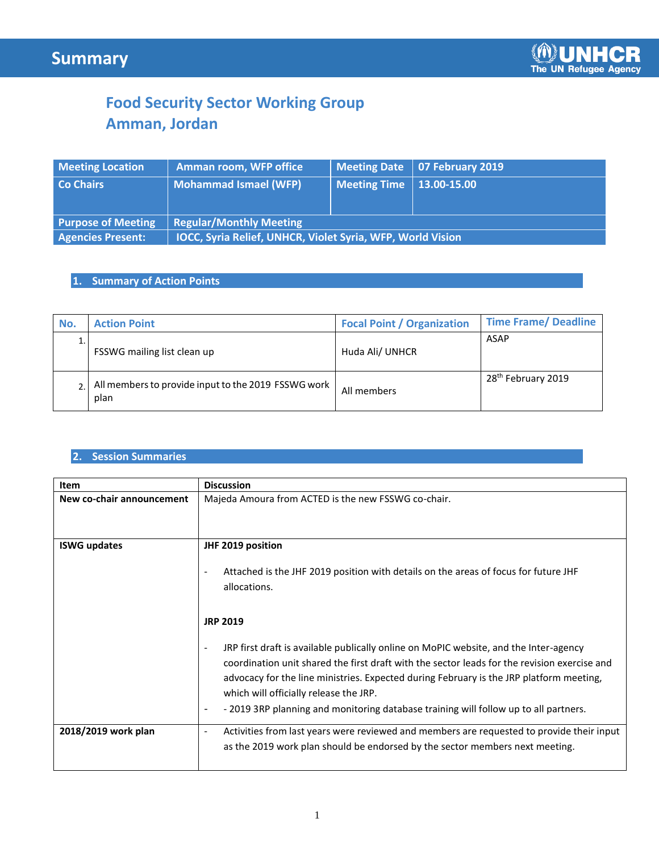# **Food Security Sector Working Group Amman, Jordan**

| <b>Meeting Location</b>   | <b>Amman room, WFP office</b>                                     |                            | Meeting Date   07 February 2019 |  |
|---------------------------|-------------------------------------------------------------------|----------------------------|---------------------------------|--|
| <b>Co Chairs</b>          | <b>Mohammad Ismael (WFP)</b>                                      | Meeting Time   13.00-15.00 |                                 |  |
|                           |                                                                   |                            |                                 |  |
| <b>Purpose of Meeting</b> | <b>Regular/Monthly Meeting</b>                                    |                            |                                 |  |
| <b>Agencies Present:</b>  | <b>IOCC, Syria Relief, UNHCR, Violet Syria, WFP, World Vision</b> |                            |                                 |  |

## **1. Summary of Action Points**

| No. | <b>Action Point</b>                                         | <b>Focal Point / Organization</b> | <b>Time Frame/ Deadline</b>    |
|-----|-------------------------------------------------------------|-----------------------------------|--------------------------------|
|     | FSSWG mailing list clean up                                 | Huda Ali/ UNHCR                   | ASAP                           |
|     | All members to provide input to the 2019 FSSWG work<br>plan | All members                       | 28 <sup>th</sup> February 2019 |

### **2. Session Summaries**

| <b>Item</b>               | <b>Discussion</b><br>Majeda Amoura from ACTED is the new FSSWG co-chair.                                                                                                                                                                                                                                                                                                                                                                                          |  |  |
|---------------------------|-------------------------------------------------------------------------------------------------------------------------------------------------------------------------------------------------------------------------------------------------------------------------------------------------------------------------------------------------------------------------------------------------------------------------------------------------------------------|--|--|
| New co-chair announcement |                                                                                                                                                                                                                                                                                                                                                                                                                                                                   |  |  |
| <b>ISWG updates</b>       | JHF 2019 position<br>Attached is the JHF 2019 position with details on the areas of focus for future JHF<br>allocations.                                                                                                                                                                                                                                                                                                                                          |  |  |
|                           | <b>JRP 2019</b><br>JRP first draft is available publically online on MoPIC website, and the Inter-agency<br>coordination unit shared the first draft with the sector leads for the revision exercise and<br>advocacy for the line ministries. Expected during February is the JRP platform meeting,<br>which will officially release the JRP.<br>- 2019 3RP planning and monitoring database training will follow up to all partners.<br>$\overline{\phantom{a}}$ |  |  |
| 2018/2019 work plan       | Activities from last years were reviewed and members are requested to provide their input<br>$\overline{\phantom{a}}$<br>as the 2019 work plan should be endorsed by the sector members next meeting.                                                                                                                                                                                                                                                             |  |  |